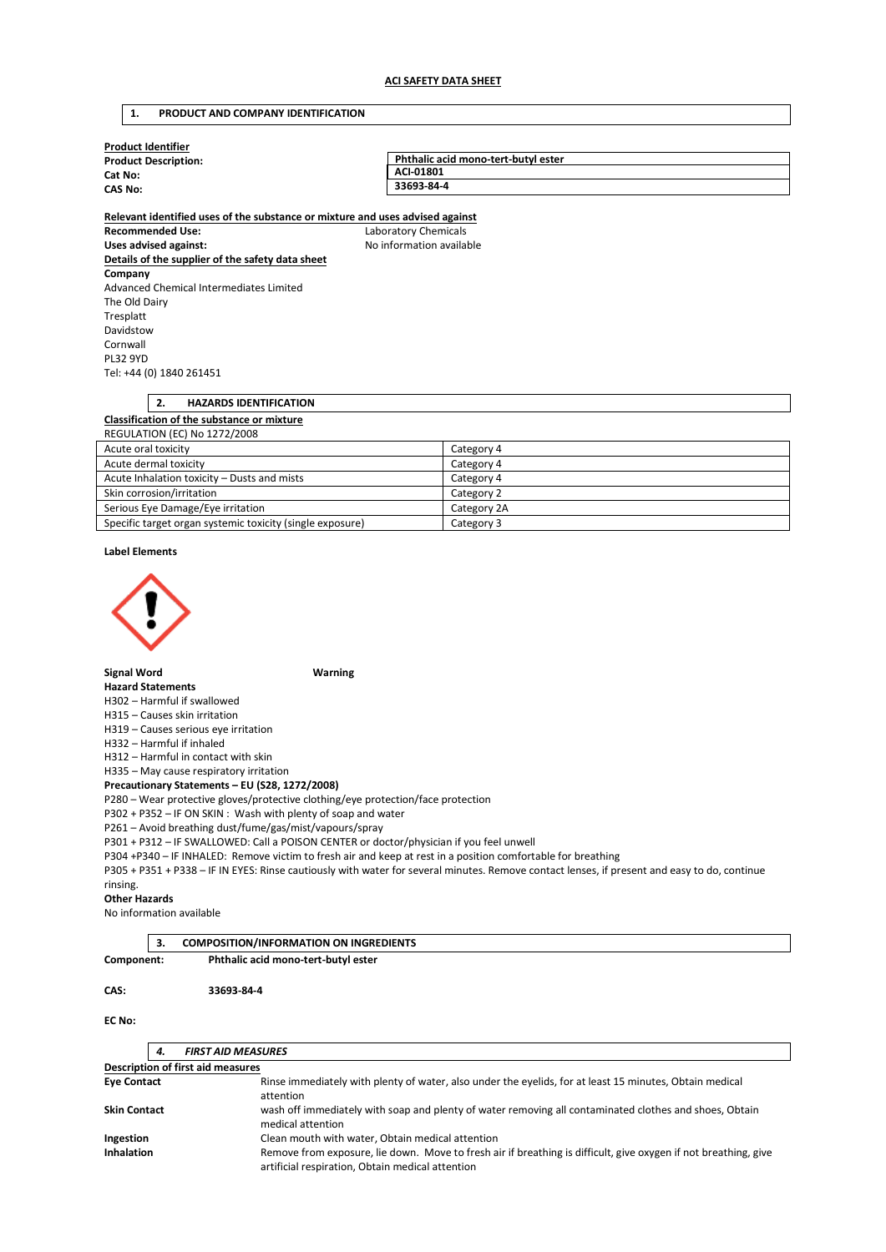# **1. PRODUCT AND COMPANY IDENTIFICATION**

| <b>Product Identifier</b>                                                     |                                     |  |  |  |  |  |  |
|-------------------------------------------------------------------------------|-------------------------------------|--|--|--|--|--|--|
| <b>Product Description:</b>                                                   | Phthalic acid mono-tert-butyl ester |  |  |  |  |  |  |
| Cat No:                                                                       | ACI-01801                           |  |  |  |  |  |  |
| <b>CAS No:</b>                                                                | 33693-84-4                          |  |  |  |  |  |  |
| Relevant identified uses of the substance or mixture and uses advised against |                                     |  |  |  |  |  |  |
| <b>Recommended Use:</b><br>Laboratory Chemicals                               |                                     |  |  |  |  |  |  |
| Uses advised against:                                                         | No information available            |  |  |  |  |  |  |
| Details of the supplier of the safety data sheet                              |                                     |  |  |  |  |  |  |
| Company                                                                       |                                     |  |  |  |  |  |  |
| Advanced Chemical Intermediates Limited                                       |                                     |  |  |  |  |  |  |
| The Old Dairy                                                                 |                                     |  |  |  |  |  |  |
| Tresplatt                                                                     |                                     |  |  |  |  |  |  |
| Davidstow                                                                     |                                     |  |  |  |  |  |  |
| Cornwall                                                                      |                                     |  |  |  |  |  |  |
| <b>PL32 9YD</b>                                                               |                                     |  |  |  |  |  |  |
| Tel: +44 (0) 1840 261451                                                      |                                     |  |  |  |  |  |  |
|                                                                               |                                     |  |  |  |  |  |  |
| 2.<br><b>HAZARDS IDENTIFICATION</b>                                           |                                     |  |  |  |  |  |  |
| Classification of the substance or mixture                                    |                                     |  |  |  |  |  |  |
| <b>REGULATION (EC) No 1272/2008</b>                                           |                                     |  |  |  |  |  |  |
| Acute oral toxicity                                                           | Category 4                          |  |  |  |  |  |  |
| Acute dermal toxicity                                                         | Category 4                          |  |  |  |  |  |  |
| Acute Inhalation tovicity. Dusts and mists                                    | $C1 + \alpha \alpha \beta$          |  |  |  |  |  |  |

| Acute Inhalation toxicity – Dusts and mists               | Category 4  |
|-----------------------------------------------------------|-------------|
| Skin corrosion/irritation                                 | Category 2  |
| Serious Eye Damage/Eye irritation                         | Category 2A |
| Specific target organ systemic toxicity (single exposure) | Category 3  |

#### **Label Elements**



## **Signal Word Warning**

#### **Hazard Statements**

H302 – Harmful if swallowed

H315 – Causes skin irritation

H319 – Causes serious eye irritation H332 – Harmful if inhaled

H312 – Harmful in contact with skin

H335 – May cause respiratory irritation

# **Precautionary Statements – EU (S28, 1272/2008)**

P280 – Wear protective gloves/protective clothing/eye protection/face protection

P302 + P352 – IF ON SKIN : Wash with plenty of soap and water

P261 – Avoid breathing dust/fume/gas/mist/vapours/spray

P301 + P312 – IF SWALLOWED: Call a POISON CENTER or doctor/physician if you feel unwell

P304 +P340 – IF INHALED: Remove victim to fresh air and keep at rest in a position comfortable for breathing

P305 + P351 + P338 – IF IN EYES: Rinse cautiously with water for several minutes. Remove contact lenses, if present and easy to do, continue rinsing.

#### **Other Hazards**

No information available

|            | -3.                                 | <b>COMPOSITION/INFORMATION ON INGREDIENTS</b> |
|------------|-------------------------------------|-----------------------------------------------|
| Component: | Phthalic acid mono-tert-butyl ester |                                               |
|            |                                     |                                               |
| CAS:       |                                     | 33693-84-4                                    |

#### **EC No:**

|                                   | 4.                                               | <b>FIRST AID MEASURES</b>                                                                                                                                           |  |  |
|-----------------------------------|--------------------------------------------------|---------------------------------------------------------------------------------------------------------------------------------------------------------------------|--|--|
| Description of first aid measures |                                                  |                                                                                                                                                                     |  |  |
| <b>Eve Contact</b>                |                                                  | Rinse immediately with plenty of water, also under the eyelids, for at least 15 minutes, Obtain medical<br>attention                                                |  |  |
| <b>Skin Contact</b>               |                                                  | wash off immediately with soap and plenty of water removing all contaminated clothes and shoes, Obtain<br>medical attention                                         |  |  |
| Ingestion                         | Clean mouth with water, Obtain medical attention |                                                                                                                                                                     |  |  |
| <b>Inhalation</b>                 |                                                  | Remove from exposure, lie down. Move to fresh air if breathing is difficult, give oxygen if not breathing, give<br>artificial respiration, Obtain medical attention |  |  |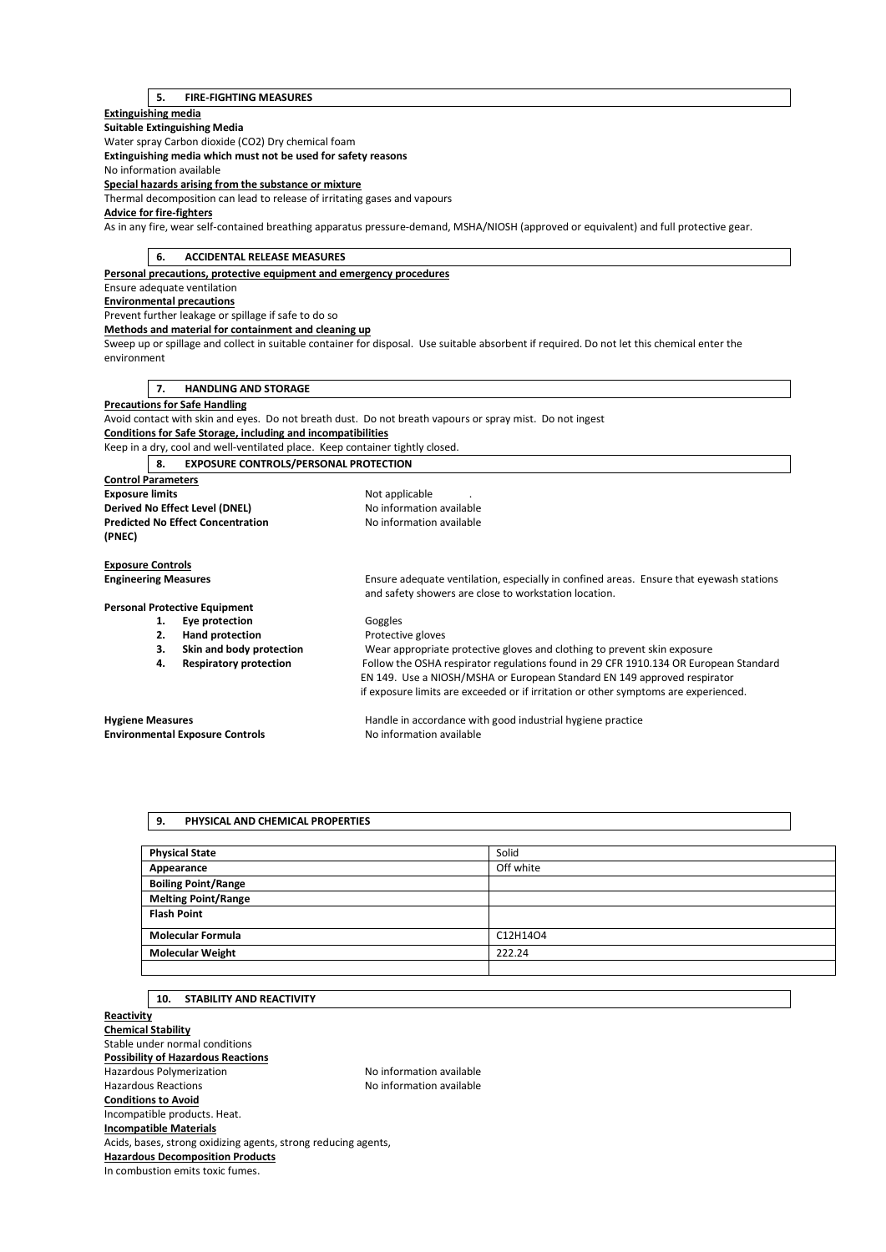## **5. FIRE-FIGHTING MEASURES**

# **Extinguishing media Suitable Extinguishing Media**  Water spray Carbon dioxide (CO2) Dry chemical foam **Extinguishing media which must not be used for safety reasons**  No information available **Special hazards arising from the substance or mixture**  Thermal decomposition can lead to release of irritating gases and vapours **Advice for fire-fighters**  As in any fire, wear self-contained breathing apparatus pressure-demand, MSHA/NIOSH (approved or equivalent) and full protective gear. **6. ACCIDENTAL RELEASE MEASURES Personal precautions, protective equipment and emergency procedures**  Ensure adequate ventilation **Environmental precautions**  Prevent further leakage or spillage if safe to do so **Methods and material for containment and cleaning up**  Sweep up or spillage and collect in suitable container for disposal. Use suitable absorbent if required. Do not let this chemical enter the environment **7. HANDLING AND STORAGE Precautions for Safe Handling**  Avoid contact with skin and eyes. Do not breath dust. Do not breath vapours or spray mist. Do not ingest **Conditions for Safe Storage, including and incompatibilities**  Keep in a dry, cool and well-ventilated place. Keep container tightly closed. **8. EXPOSURE CONTROLS/PERSONAL PROTECTION Control Parameters Exposure limits Exposure limits Not applicable** . **Derived No Effect Level (DNEL)** No information available **Predicted No Effect Concentration** No information available **(PNEC) Exposure Controls Engineering Measures** Ensure adequate ventilation, especially in confined areas. Ensure that eyewash stations and safety showers are close to workstation location. **Personal Protective Equipment**  1. **Eye protection Goggles 2. Hand protection Protective gloves 3. Skin and body protection** Wear appropriate protective gloves and clothing to prevent skin exposure **4. Respiratory protection** Follow the OSHA respirator regulations found in 29 CFR 1910.134 OR European Standard EN 149. Use a NIOSH/MSHA or European Standard EN 149 approved respirator if exposure limits are exceeded or if irritation or other symptoms are experienced. **Hygiene Measures** Handle in accordance with good industrial hygiene practice **Environmental Exposure Controls No information available**

# **9. PHYSICAL AND CHEMICAL PROPERTIES**

| <b>Physical State</b>      | Solid     |
|----------------------------|-----------|
| Appearance                 | Off white |
| <b>Boiling Point/Range</b> |           |
| <b>Melting Point/Range</b> |           |
| <b>Flash Point</b>         |           |
| <b>Molecular Formula</b>   | C12H14O4  |
| <b>Molecular Weight</b>    | 222.24    |
|                            |           |

# **10. STABILITY AND REACTIVITY**

**Reactivity Chemical Stability**  Stable under normal conditions **Possibility of Hazardous Reactions**  Hazardous Polymerization Maximum No information available Hazardous Reactions No information available **Conditions to Avoid**  Incompatible products. Heat. **Incompatible Materials**  Acids, bases, strong oxidizing agents, strong reducing agents, **Hazardous Decomposition Products**  In combustion emits toxic fumes.